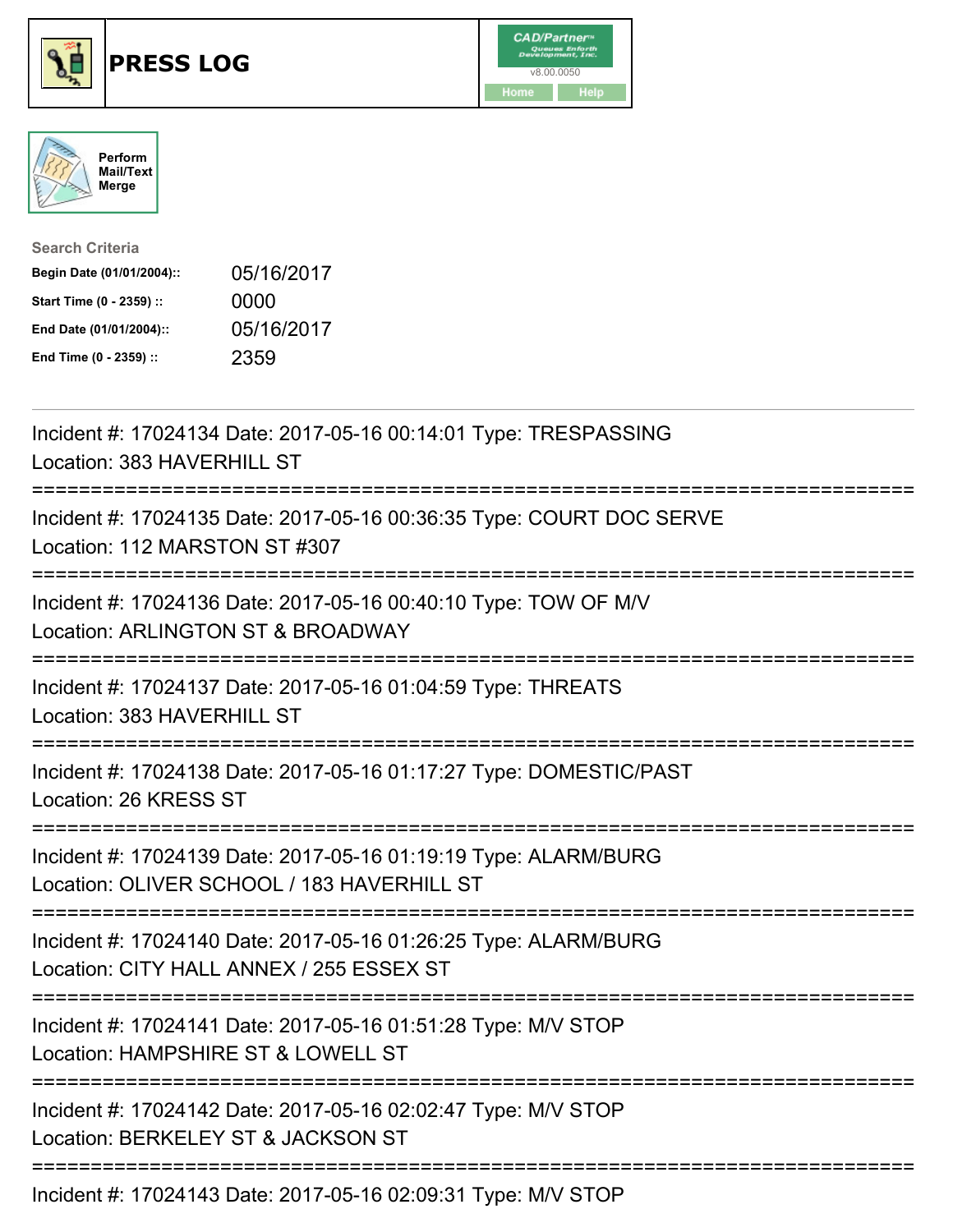





| <b>Search Criteria</b>    |            |
|---------------------------|------------|
| Begin Date (01/01/2004):: | 05/16/2017 |
| Start Time (0 - 2359) ::  | 0000       |
| End Date (01/01/2004)::   | 05/16/2017 |
| End Time (0 - 2359) ::    | 2359       |

| Incident #: 17024134 Date: 2017-05-16 00:14:01 Type: TRESPASSING<br>Location: 383 HAVERHILL ST                                                |
|-----------------------------------------------------------------------------------------------------------------------------------------------|
| Incident #: 17024135 Date: 2017-05-16 00:36:35 Type: COURT DOC SERVE<br>Location: 112 MARSTON ST #307                                         |
| Incident #: 17024136 Date: 2017-05-16 00:40:10 Type: TOW OF M/V<br>Location: ARLINGTON ST & BROADWAY                                          |
| Incident #: 17024137 Date: 2017-05-16 01:04:59 Type: THREATS<br>Location: 383 HAVERHILL ST                                                    |
| Incident #: 17024138 Date: 2017-05-16 01:17:27 Type: DOMESTIC/PAST<br>Location: 26 KRESS ST                                                   |
| Incident #: 17024139 Date: 2017-05-16 01:19:19 Type: ALARM/BURG<br>Location: OLIVER SCHOOL / 183 HAVERHILL ST<br>---------------------------- |
| Incident #: 17024140 Date: 2017-05-16 01:26:25 Type: ALARM/BURG<br>Location: CITY HALL ANNEX / 255 ESSEX ST                                   |
| Incident #: 17024141 Date: 2017-05-16 01:51:28 Type: M/V STOP<br>Location: HAMPSHIRE ST & LOWELL ST                                           |
| Incident #: 17024142 Date: 2017-05-16 02:02:47 Type: M/V STOP<br>Location: BERKELEY ST & JACKSON ST                                           |
|                                                                                                                                               |

Incident #: 17024143 Date: 2017-05-16 02:09:31 Type: M/V STOP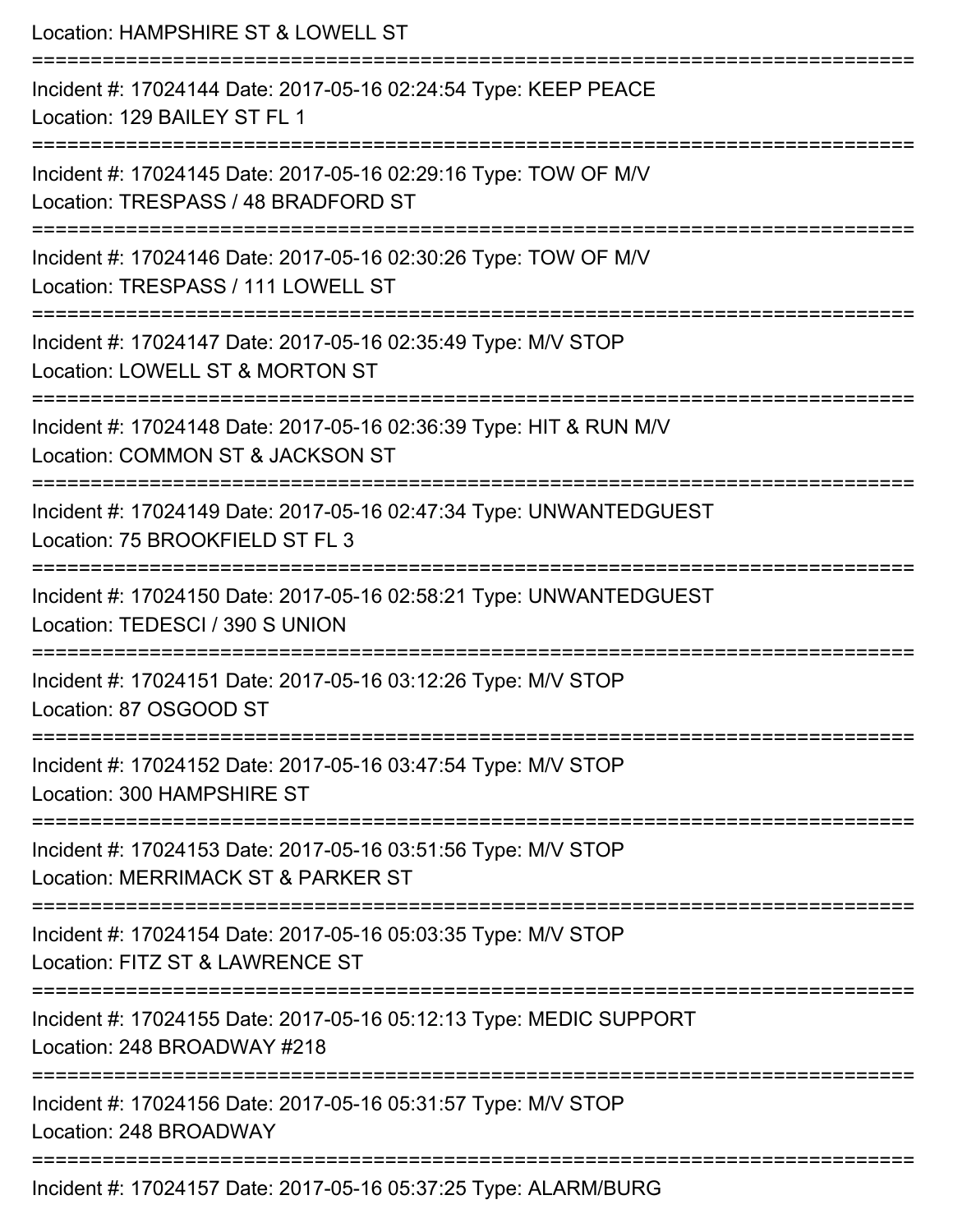| Location: HAMPSHIRE ST & LOWELL ST                                                                                                     |
|----------------------------------------------------------------------------------------------------------------------------------------|
| Incident #: 17024144 Date: 2017-05-16 02:24:54 Type: KEEP PEACE<br>Location: 129 BAILEY ST FL 1                                        |
| Incident #: 17024145 Date: 2017-05-16 02:29:16 Type: TOW OF M/V<br>Location: TRESPASS / 48 BRADFORD ST                                 |
| Incident #: 17024146 Date: 2017-05-16 02:30:26 Type: TOW OF M/V<br>Location: TRESPASS / 111 LOWELL ST<br>.=========================    |
| Incident #: 17024147 Date: 2017-05-16 02:35:49 Type: M/V STOP<br>Location: LOWELL ST & MORTON ST                                       |
| Incident #: 17024148 Date: 2017-05-16 02:36:39 Type: HIT & RUN M/V<br>Location: COMMON ST & JACKSON ST<br>:=========================== |
| Incident #: 17024149 Date: 2017-05-16 02:47:34 Type: UNWANTEDGUEST<br>Location: 75 BROOKFIELD ST FL 3<br>----------------              |
| Incident #: 17024150 Date: 2017-05-16 02:58:21 Type: UNWANTEDGUEST<br>Location: TEDESCI / 390 S UNION<br>---------------               |
| Incident #: 17024151 Date: 2017-05-16 03:12:26 Type: M/V STOP<br>Location: 87 OSGOOD ST                                                |
| Incident #: 17024152 Date: 2017-05-16 03:47:54 Type: M/V STOP<br>Location: 300 HAMPSHIRE ST                                            |
| Incident #: 17024153 Date: 2017-05-16 03:51:56 Type: M/V STOP<br>Location: MERRIMACK ST & PARKER ST                                    |
| Incident #: 17024154 Date: 2017-05-16 05:03:35 Type: M/V STOP<br>Location: FITZ ST & LAWRENCE ST                                       |
| Incident #: 17024155 Date: 2017-05-16 05:12:13 Type: MEDIC SUPPORT<br>Location: 248 BROADWAY #218                                      |
| Incident #: 17024156 Date: 2017-05-16 05:31:57 Type: M/V STOP<br>Location: 248 BROADWAY                                                |
| Incident #: 17024157 Date: 2017-05-16 05:37:25 Type: ALARM/BURG                                                                        |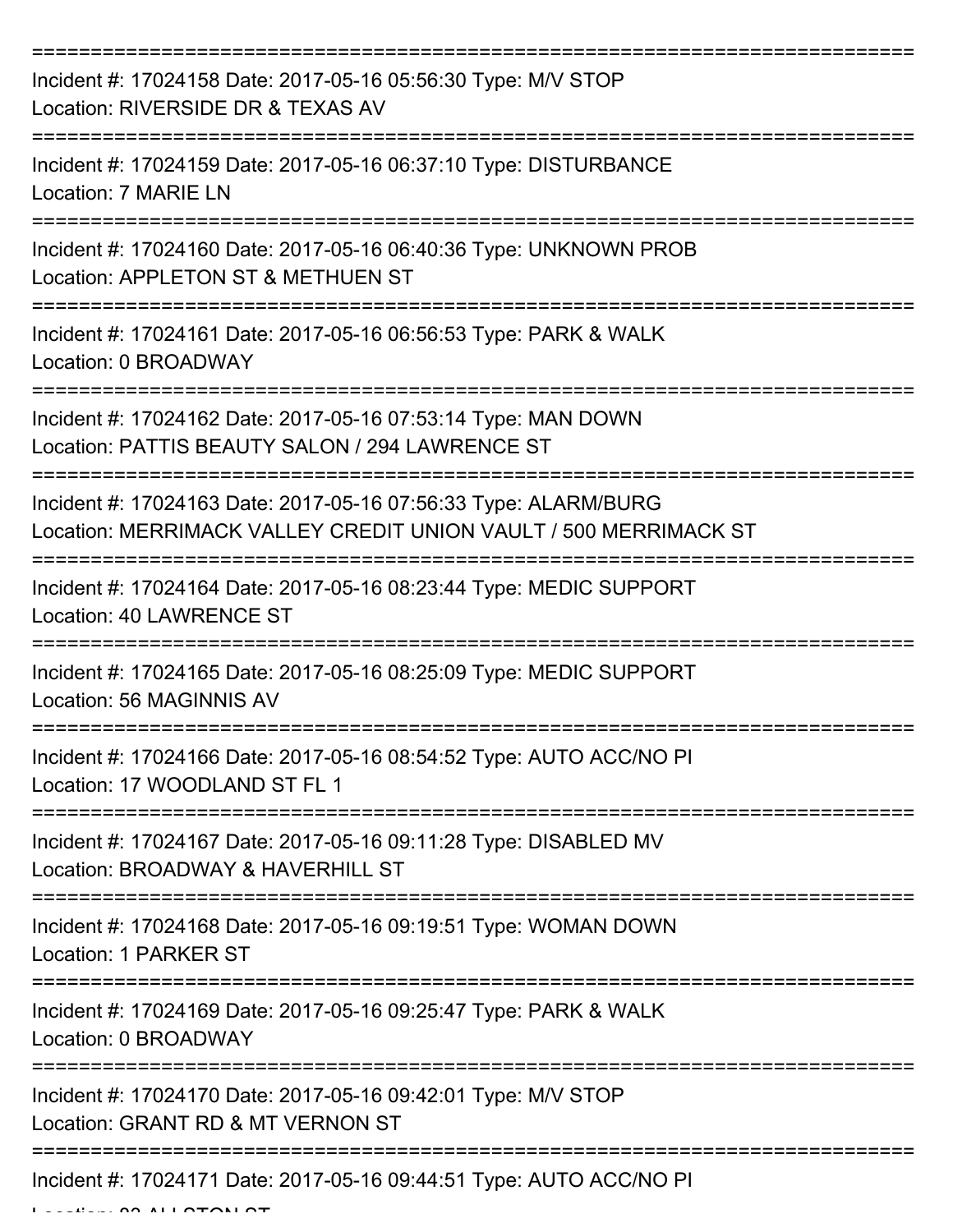| Incident #: 17024158 Date: 2017-05-16 05:56:30 Type: M/V STOP<br>Location: RIVERSIDE DR & TEXAS AV                                  |
|-------------------------------------------------------------------------------------------------------------------------------------|
| Incident #: 17024159 Date: 2017-05-16 06:37:10 Type: DISTURBANCE<br>Location: 7 MARIE LN                                            |
| Incident #: 17024160 Date: 2017-05-16 06:40:36 Type: UNKNOWN PROB<br>Location: APPLETON ST & METHUEN ST                             |
| Incident #: 17024161 Date: 2017-05-16 06:56:53 Type: PARK & WALK<br>Location: 0 BROADWAY                                            |
| Incident #: 17024162 Date: 2017-05-16 07:53:14 Type: MAN DOWN<br>Location: PATTIS BEAUTY SALON / 294 LAWRENCE ST                    |
| Incident #: 17024163 Date: 2017-05-16 07:56:33 Type: ALARM/BURG<br>Location: MERRIMACK VALLEY CREDIT UNION VAULT / 500 MERRIMACK ST |
| Incident #: 17024164 Date: 2017-05-16 08:23:44 Type: MEDIC SUPPORT<br><b>Location: 40 LAWRENCE ST</b>                               |
| Incident #: 17024165 Date: 2017-05-16 08:25:09 Type: MEDIC SUPPORT<br>Location: 56 MAGINNIS AV                                      |
| Incident #: 17024166 Date: 2017-05-16 08:54:52 Type: AUTO ACC/NO PI<br>Location: 17 WOODLAND ST FL 1                                |
| Incident #: 17024167 Date: 2017-05-16 09:11:28 Type: DISABLED MV<br>Location: BROADWAY & HAVERHILL ST                               |
| Incident #: 17024168 Date: 2017-05-16 09:19:51 Type: WOMAN DOWN<br>Location: 1 PARKER ST                                            |
| Incident #: 17024169 Date: 2017-05-16 09:25:47 Type: PARK & WALK<br>Location: 0 BROADWAY                                            |
| Incident #: 17024170 Date: 2017-05-16 09:42:01 Type: M/V STOP<br>Location: GRANT RD & MT VERNON ST                                  |
| Incident #: 17024171 Date: 2017-05-16 09:44:51 Type: AUTO ACC/NO PI                                                                 |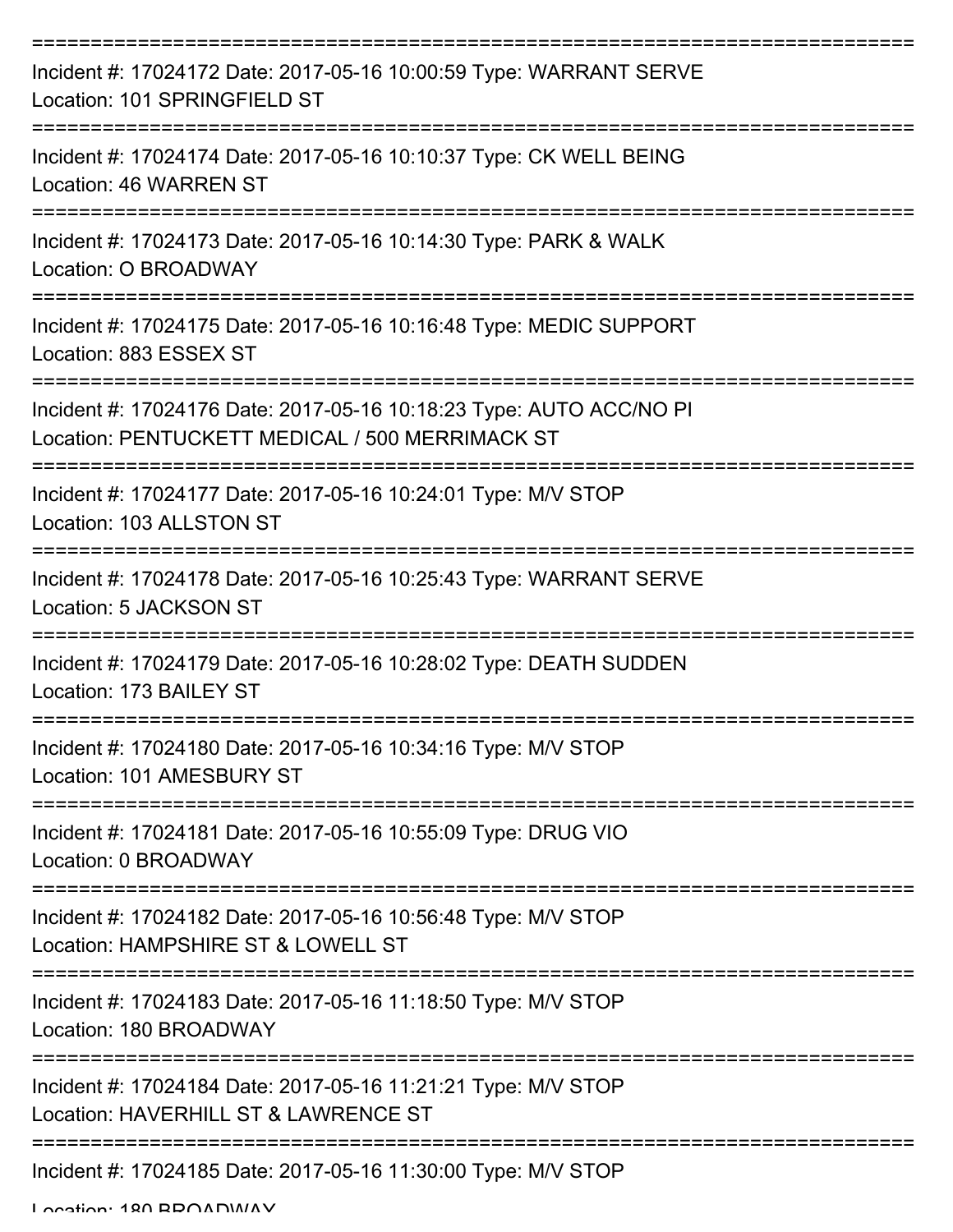| Incident #: 17024172 Date: 2017-05-16 10:00:59 Type: WARRANT SERVE<br>Location: 101 SPRINGFIELD ST                     |
|------------------------------------------------------------------------------------------------------------------------|
| Incident #: 17024174 Date: 2017-05-16 10:10:37 Type: CK WELL BEING<br>Location: 46 WARREN ST                           |
| Incident #: 17024173 Date: 2017-05-16 10:14:30 Type: PARK & WALK<br>Location: O BROADWAY                               |
| Incident #: 17024175 Date: 2017-05-16 10:16:48 Type: MEDIC SUPPORT<br>Location: 883 ESSEX ST                           |
| Incident #: 17024176 Date: 2017-05-16 10:18:23 Type: AUTO ACC/NO PI<br>Location: PENTUCKETT MEDICAL / 500 MERRIMACK ST |
| Incident #: 17024177 Date: 2017-05-16 10:24:01 Type: M/V STOP<br>Location: 103 ALLSTON ST                              |
| Incident #: 17024178 Date: 2017-05-16 10:25:43 Type: WARRANT SERVE<br>Location: 5 JACKSON ST                           |
| Incident #: 17024179 Date: 2017-05-16 10:28:02 Type: DEATH SUDDEN<br>Location: 173 BAILEY ST                           |
| Incident #: 17024180 Date: 2017-05-16 10:34:16 Type: M/V STOP<br>Location: 101 AMESBURY ST                             |
| Incident #: 17024181 Date: 2017-05-16 10:55:09 Type: DRUG VIO<br>Location: 0 BROADWAY                                  |
| Incident #: 17024182 Date: 2017-05-16 10:56:48 Type: M/V STOP<br>Location: HAMPSHIRE ST & LOWELL ST                    |
| Incident #: 17024183 Date: 2017-05-16 11:18:50 Type: M/V STOP<br>Location: 180 BROADWAY                                |
| Incident #: 17024184 Date: 2017-05-16 11:21:21 Type: M/V STOP<br>Location: HAVERHILL ST & LAWRENCE ST                  |
| Incident #: 17024185 Date: 2017-05-16 11:30:00 Type: M/V STOP                                                          |

Location: 180 BROADWAY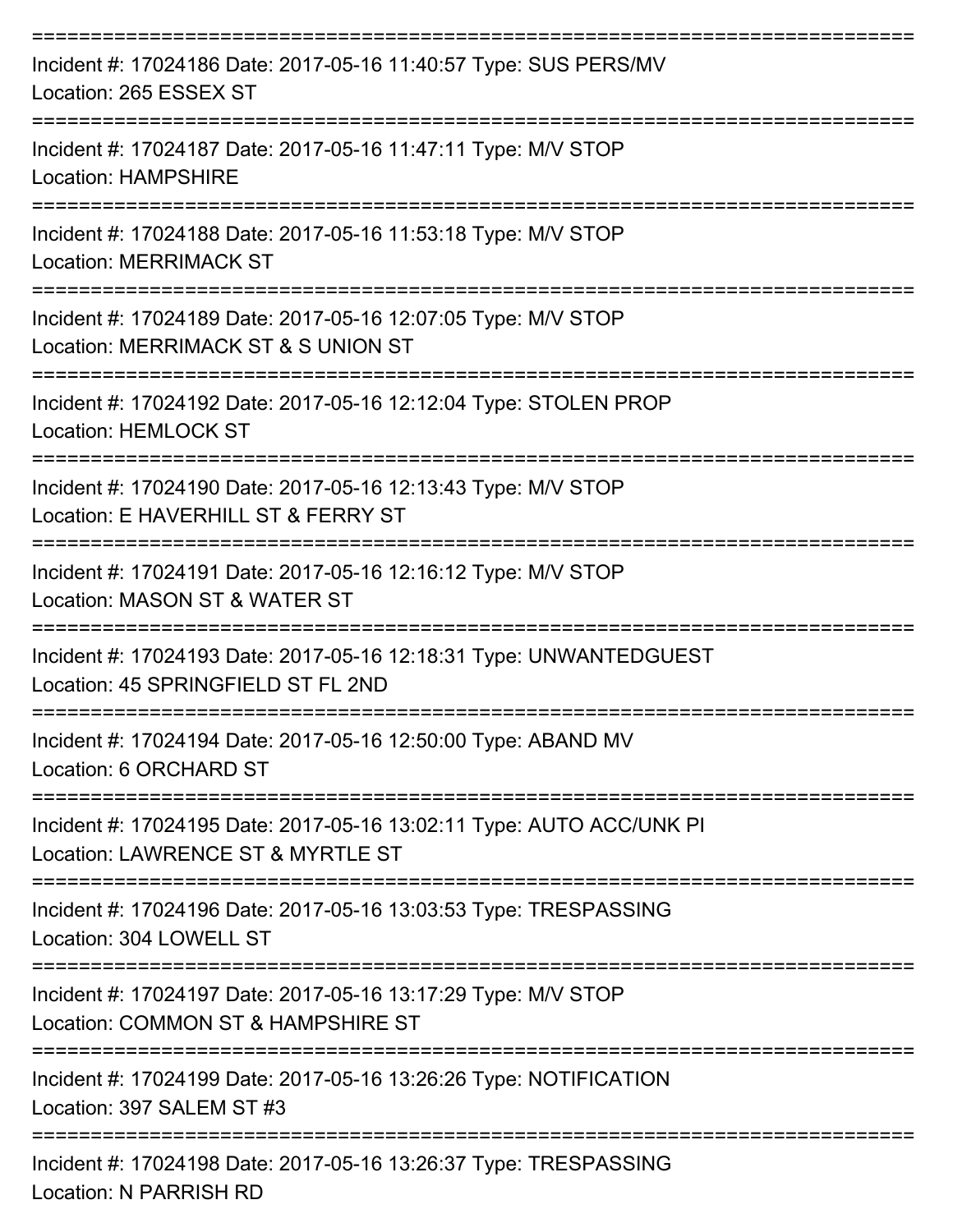| Incident #: 17024186 Date: 2017-05-16 11:40:57 Type: SUS PERS/MV<br>Location: 265 ESSEX ST                |
|-----------------------------------------------------------------------------------------------------------|
| Incident #: 17024187 Date: 2017-05-16 11:47:11 Type: M/V STOP<br>Location: HAMPSHIRE                      |
| Incident #: 17024188 Date: 2017-05-16 11:53:18 Type: M/V STOP<br><b>Location: MERRIMACK ST</b>            |
| Incident #: 17024189 Date: 2017-05-16 12:07:05 Type: M/V STOP<br>Location: MERRIMACK ST & S UNION ST      |
| Incident #: 17024192 Date: 2017-05-16 12:12:04 Type: STOLEN PROP<br><b>Location: HEMLOCK ST</b>           |
| Incident #: 17024190 Date: 2017-05-16 12:13:43 Type: M/V STOP<br>Location: E HAVERHILL ST & FERRY ST      |
| Incident #: 17024191 Date: 2017-05-16 12:16:12 Type: M/V STOP<br>Location: MASON ST & WATER ST            |
| Incident #: 17024193 Date: 2017-05-16 12:18:31 Type: UNWANTEDGUEST<br>Location: 45 SPRINGFIELD ST FL 2ND  |
| Incident #: 17024194 Date: 2017-05-16 12:50:00 Type: ABAND MV<br>Location: 6 ORCHARD ST                   |
| Incident #: 17024195 Date: 2017-05-16 13:02:11 Type: AUTO ACC/UNK PI<br>Location: LAWRENCE ST & MYRTLE ST |
| Incident #: 17024196 Date: 2017-05-16 13:03:53 Type: TRESPASSING<br>Location: 304 LOWELL ST               |
| Incident #: 17024197 Date: 2017-05-16 13:17:29 Type: M/V STOP<br>Location: COMMON ST & HAMPSHIRE ST       |
| Incident #: 17024199 Date: 2017-05-16 13:26:26 Type: NOTIFICATION<br>Location: 397 SALEM ST #3            |
| Incident #: 17024198 Date: 2017-05-16 13:26:37 Type: TRESPASSING                                          |

Location: N PARRISH RD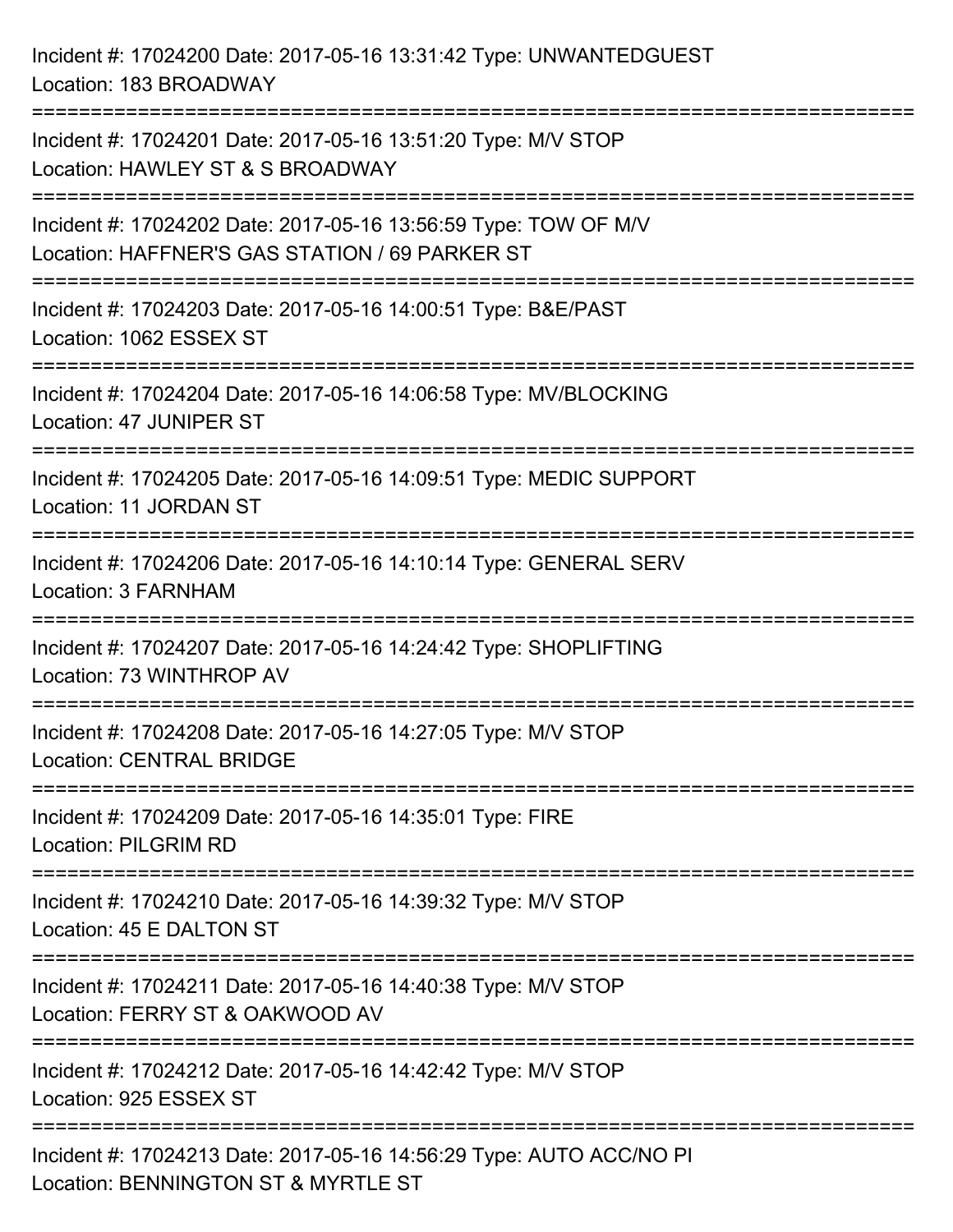Incident #: 17024200 Date: 2017-05-16 13:31:42 Type: UNWANTEDGUEST Location: 183 BROADWAY =========================================================================== Incident #: 17024201 Date: 2017-05-16 13:51:20 Type: M/V STOP Location: HAWLEY ST & S BROADWAY =========================================================================== Incident #: 17024202 Date: 2017-05-16 13:56:59 Type: TOW OF M/V Location: HAFFNER'S GAS STATION / 69 PARKER ST =========================================================================== Incident #: 17024203 Date: 2017-05-16 14:00:51 Type: B&E/PAST Location: 1062 ESSEX ST =========================================================================== Incident #: 17024204 Date: 2017-05-16 14:06:58 Type: MV/BLOCKING Location: 47 JUNIPER ST =========================================================================== Incident #: 17024205 Date: 2017-05-16 14:09:51 Type: MEDIC SUPPORT Location: 11 JORDAN ST =========================================================================== Incident #: 17024206 Date: 2017-05-16 14:10:14 Type: GENERAL SERV Location: 3 FARNHAM =========================================================================== Incident #: 17024207 Date: 2017-05-16 14:24:42 Type: SHOPLIFTING Location: 73 WINTHROP AV =========================================================================== Incident #: 17024208 Date: 2017-05-16 14:27:05 Type: M/V STOP Location: CENTRAL BRIDGE =========================================================================== Incident #: 17024209 Date: 2017-05-16 14:35:01 Type: FIRE Location: PILGRIM RD =========================================================================== Incident #: 17024210 Date: 2017-05-16 14:39:32 Type: M/V STOP Location: 45 E DALTON ST =========================================================================== Incident #: 17024211 Date: 2017-05-16 14:40:38 Type: M/V STOP Location: FERRY ST & OAKWOOD AV =========================================================================== Incident #: 17024212 Date: 2017-05-16 14:42:42 Type: M/V STOP Location: 925 ESSEX ST =========================================================================== Incident #: 17024213 Date: 2017-05-16 14:56:29 Type: AUTO ACC/NO PI Location: BENNINGTON ST & MYRTLE ST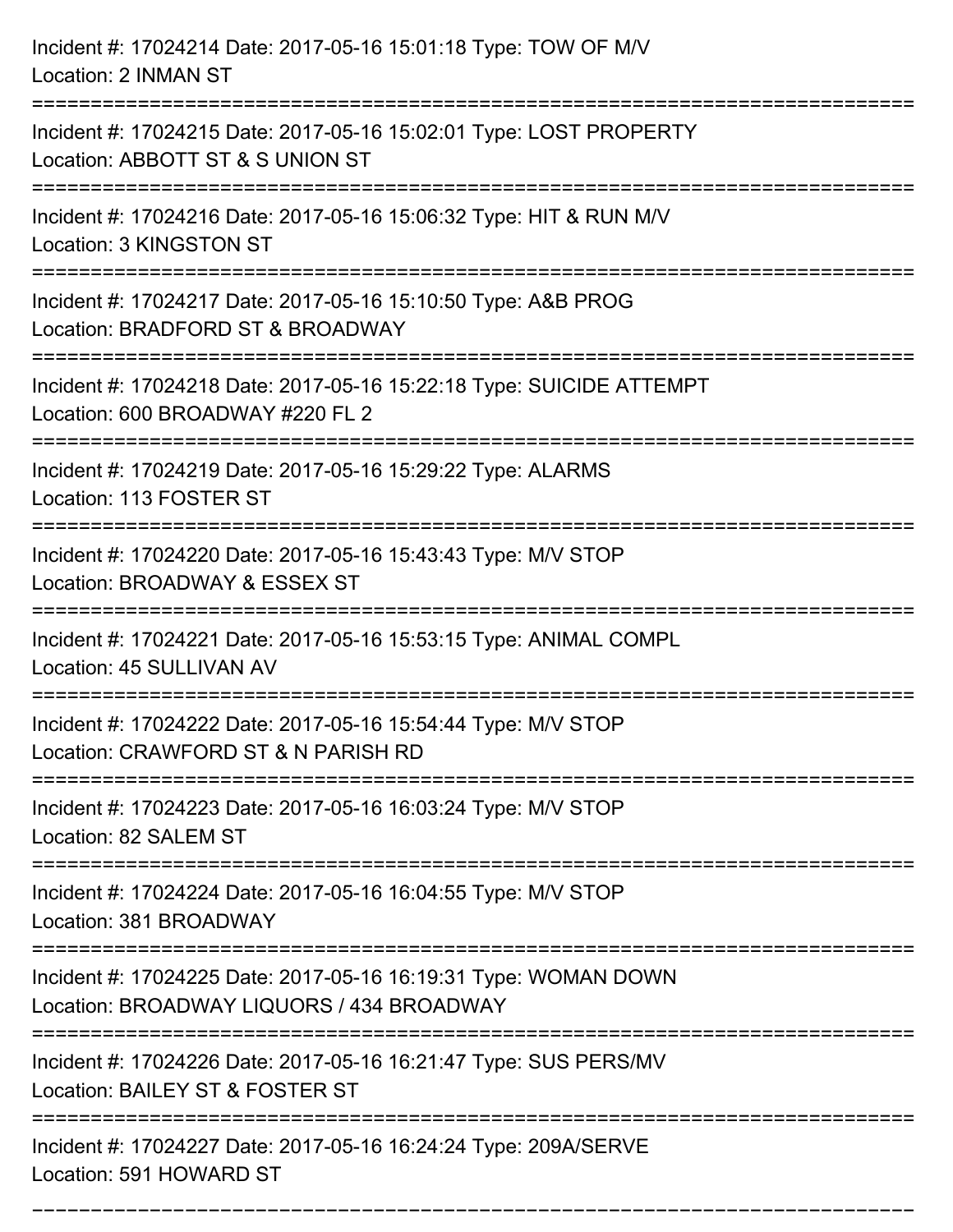| Incident #: 17024214 Date: 2017-05-16 15:01:18 Type: TOW OF M/V<br>Location: 2 INMAN ST                                                                                   |
|---------------------------------------------------------------------------------------------------------------------------------------------------------------------------|
| ------------------------<br>Incident #: 17024215 Date: 2017-05-16 15:02:01 Type: LOST PROPERTY<br>Location: ABBOTT ST & S UNION ST                                        |
| Incident #: 17024216 Date: 2017-05-16 15:06:32 Type: HIT & RUN M/V<br>Location: 3 KINGSTON ST                                                                             |
| Incident #: 17024217 Date: 2017-05-16 15:10:50 Type: A&B PROG<br>Location: BRADFORD ST & BROADWAY                                                                         |
| Incident #: 17024218 Date: 2017-05-16 15:22:18 Type: SUICIDE ATTEMPT<br>Location: 600 BROADWAY #220 FL 2<br>:=========================<br>------------------------------- |
| Incident #: 17024219 Date: 2017-05-16 15:29:22 Type: ALARMS<br>Location: 113 FOSTER ST                                                                                    |
| Incident #: 17024220 Date: 2017-05-16 15:43:43 Type: M/V STOP<br>Location: BROADWAY & ESSEX ST                                                                            |
| Incident #: 17024221 Date: 2017-05-16 15:53:15 Type: ANIMAL COMPL<br>Location: 45 SULLIVAN AV                                                                             |
| Incident #: 17024222 Date: 2017-05-16 15:54:44 Type: M/V STOP<br>Location: CRAWFORD ST & N PARISH RD                                                                      |
| Incident #: 17024223 Date: 2017-05-16 16:03:24 Type: M/V STOP<br>Location: 82 SALEM ST                                                                                    |
| Incident #: 17024224 Date: 2017-05-16 16:04:55 Type: M/V STOP<br>Location: 381 BROADWAY                                                                                   |
| Incident #: 17024225 Date: 2017-05-16 16:19:31 Type: WOMAN DOWN<br>Location: BROADWAY LIQUORS / 434 BROADWAY                                                              |
| Incident #: 17024226 Date: 2017-05-16 16:21:47 Type: SUS PERS/MV<br>Location: BAILEY ST & FOSTER ST                                                                       |
| Incident #: 17024227 Date: 2017-05-16 16:24:24 Type: 209A/SERVE<br>Location: 591 HOWARD ST                                                                                |

===========================================================================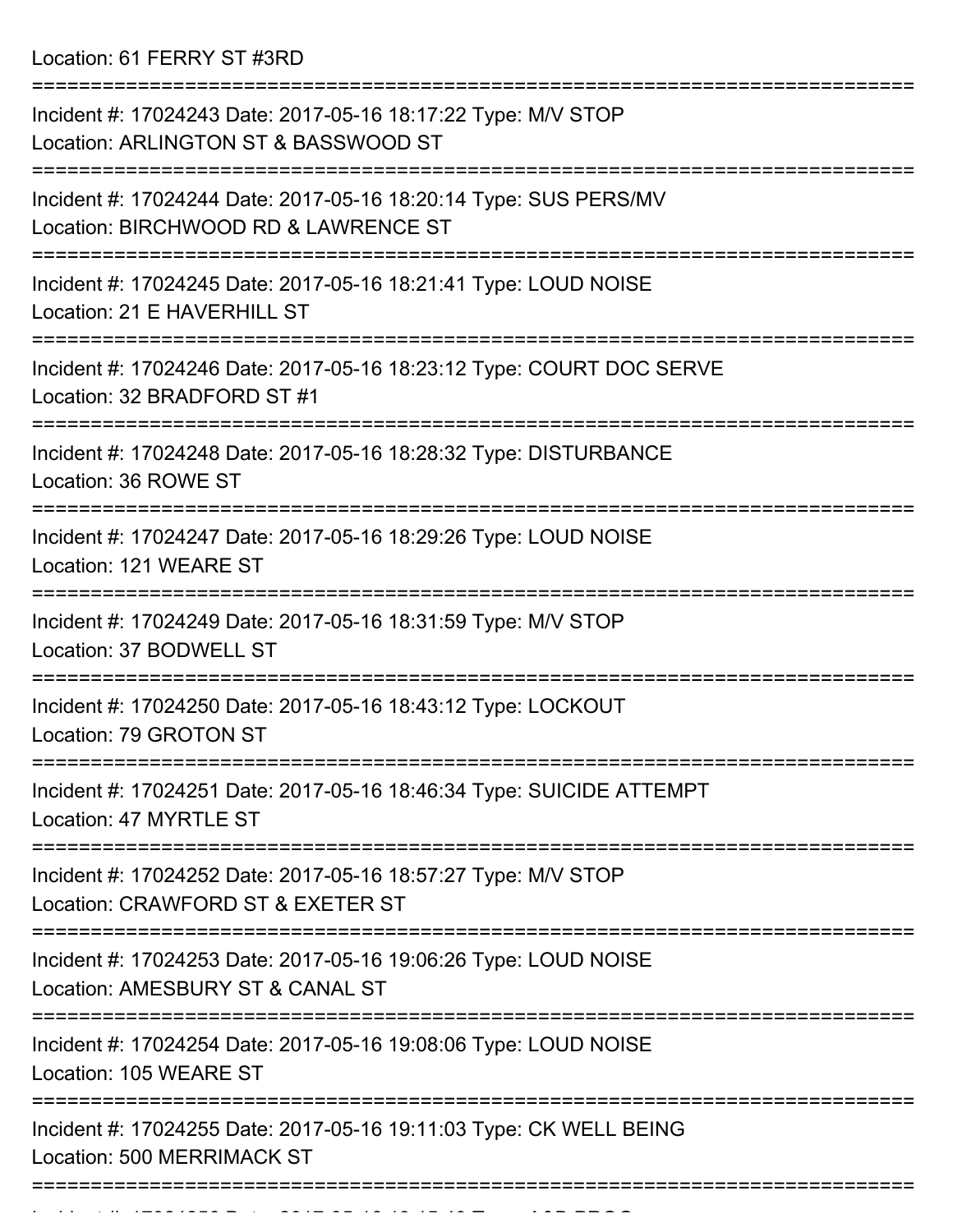Location: 61 FERRY ST #3RD

| Incident #: 17024243 Date: 2017-05-16 18:17:22 Type: M/V STOP<br>Location: ARLINGTON ST & BASSWOOD ST                       |
|-----------------------------------------------------------------------------------------------------------------------------|
| Incident #: 17024244 Date: 2017-05-16 18:20:14 Type: SUS PERS/MV<br>Location: BIRCHWOOD RD & LAWRENCE ST                    |
| Incident #: 17024245 Date: 2017-05-16 18:21:41 Type: LOUD NOISE<br>Location: 21 E HAVERHILL ST                              |
| Incident #: 17024246 Date: 2017-05-16 18:23:12 Type: COURT DOC SERVE<br>Location: 32 BRADFORD ST #1                         |
| Incident #: 17024248 Date: 2017-05-16 18:28:32 Type: DISTURBANCE<br>Location: 36 ROWE ST                                    |
| Incident #: 17024247 Date: 2017-05-16 18:29:26 Type: LOUD NOISE<br>Location: 121 WEARE ST                                   |
| Incident #: 17024249 Date: 2017-05-16 18:31:59 Type: M/V STOP<br>Location: 37 BODWELL ST                                    |
| Incident #: 17024250 Date: 2017-05-16 18:43:12 Type: LOCKOUT<br>Location: 79 GROTON ST                                      |
| Incident #: 17024251 Date: 2017-05-16 18:46:34 Type: SUICIDE ATTEMPT<br>Location: 47 MYRTLE ST                              |
| :====================<br>Incident #: 17024252 Date: 2017-05-16 18:57:27 Type: M/V STOP<br>Location: CRAWFORD ST & EXETER ST |
| Incident #: 17024253 Date: 2017-05-16 19:06:26 Type: LOUD NOISE<br>Location: AMESBURY ST & CANAL ST                         |
| Incident #: 17024254 Date: 2017-05-16 19:08:06 Type: LOUD NOISE<br>Location: 105 WEARE ST                                   |
| Incident #: 17024255 Date: 2017-05-16 19:11:03 Type: CK WELL BEING<br>Location: 500 MERRIMACK ST                            |
|                                                                                                                             |

Incident #: 17024256 Date: 2017 05 16 19:15:49 Type: A&B PROG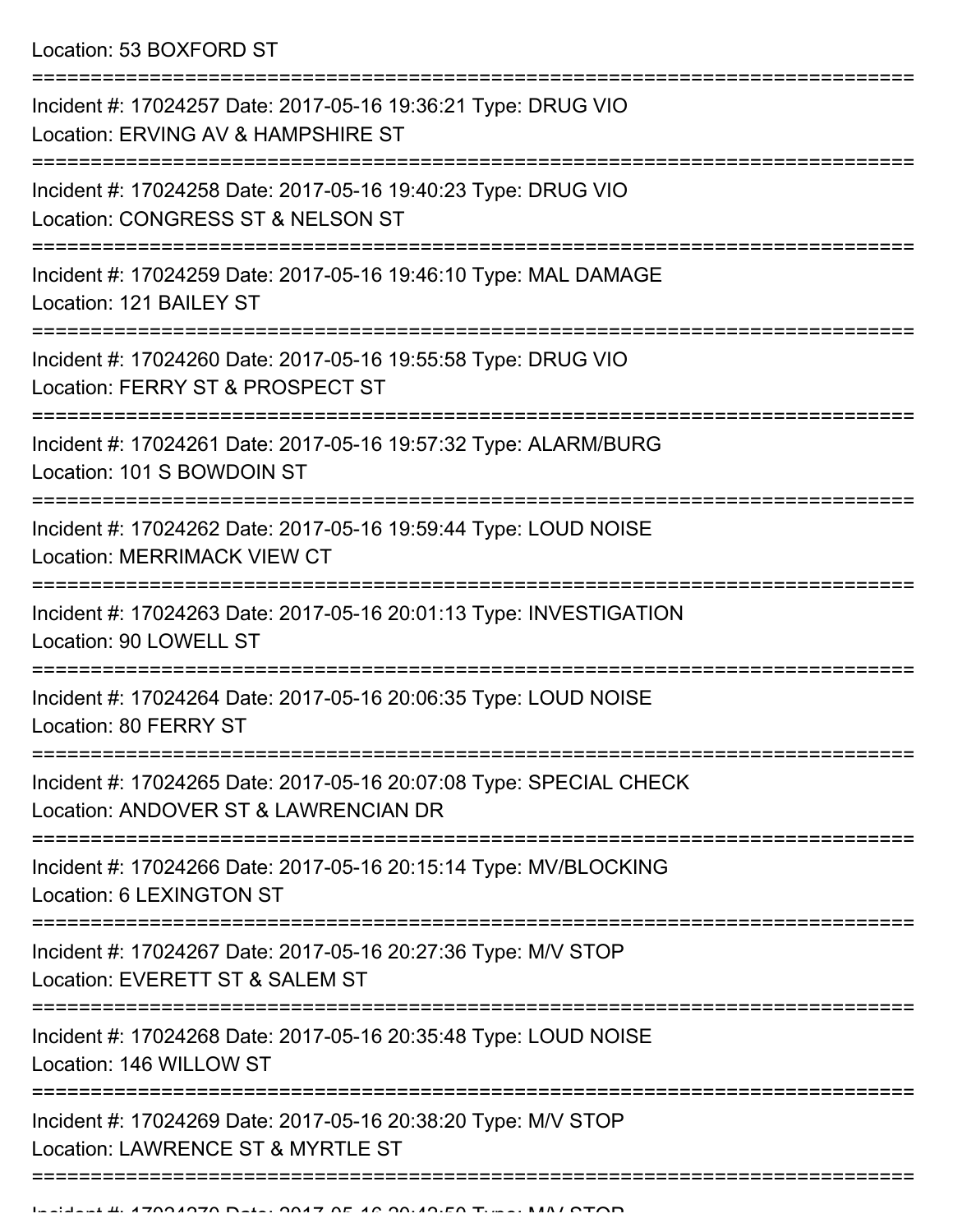Location: 53 BOXFORD ST

| Incident #: 17024257 Date: 2017-05-16 19:36:21 Type: DRUG VIO<br>Location: ERVING AV & HAMPSHIRE ST        |
|------------------------------------------------------------------------------------------------------------|
| Incident #: 17024258 Date: 2017-05-16 19:40:23 Type: DRUG VIO<br>Location: CONGRESS ST & NELSON ST         |
| Incident #: 17024259 Date: 2017-05-16 19:46:10 Type: MAL DAMAGE<br>Location: 121 BAILEY ST                 |
| Incident #: 17024260 Date: 2017-05-16 19:55:58 Type: DRUG VIO<br>Location: FERRY ST & PROSPECT ST          |
| Incident #: 17024261 Date: 2017-05-16 19:57:32 Type: ALARM/BURG<br>Location: 101 S BOWDOIN ST              |
| Incident #: 17024262 Date: 2017-05-16 19:59:44 Type: LOUD NOISE<br><b>Location: MERRIMACK VIEW CT</b>      |
| Incident #: 17024263 Date: 2017-05-16 20:01:13 Type: INVESTIGATION<br>Location: 90 LOWELL ST               |
| Incident #: 17024264 Date: 2017-05-16 20:06:35 Type: LOUD NOISE<br>Location: 80 FERRY ST                   |
| Incident #: 17024265 Date: 2017-05-16 20:07:08 Type: SPECIAL CHECK<br>Location: ANDOVER ST & LAWRENCIAN DR |
| Incident #: 17024266 Date: 2017-05-16 20:15:14 Type: MV/BLOCKING<br>Location: 6 LEXINGTON ST               |
| Incident #: 17024267 Date: 2017-05-16 20:27:36 Type: M/V STOP<br>Location: EVERETT ST & SALEM ST           |
| Incident #: 17024268 Date: 2017-05-16 20:35:48 Type: LOUD NOISE<br>Location: 146 WILLOW ST                 |
| Incident #: 17024269 Date: 2017-05-16 20:38:20 Type: M/V STOP<br>Location: LAWRENCE ST & MYRTLE ST         |
|                                                                                                            |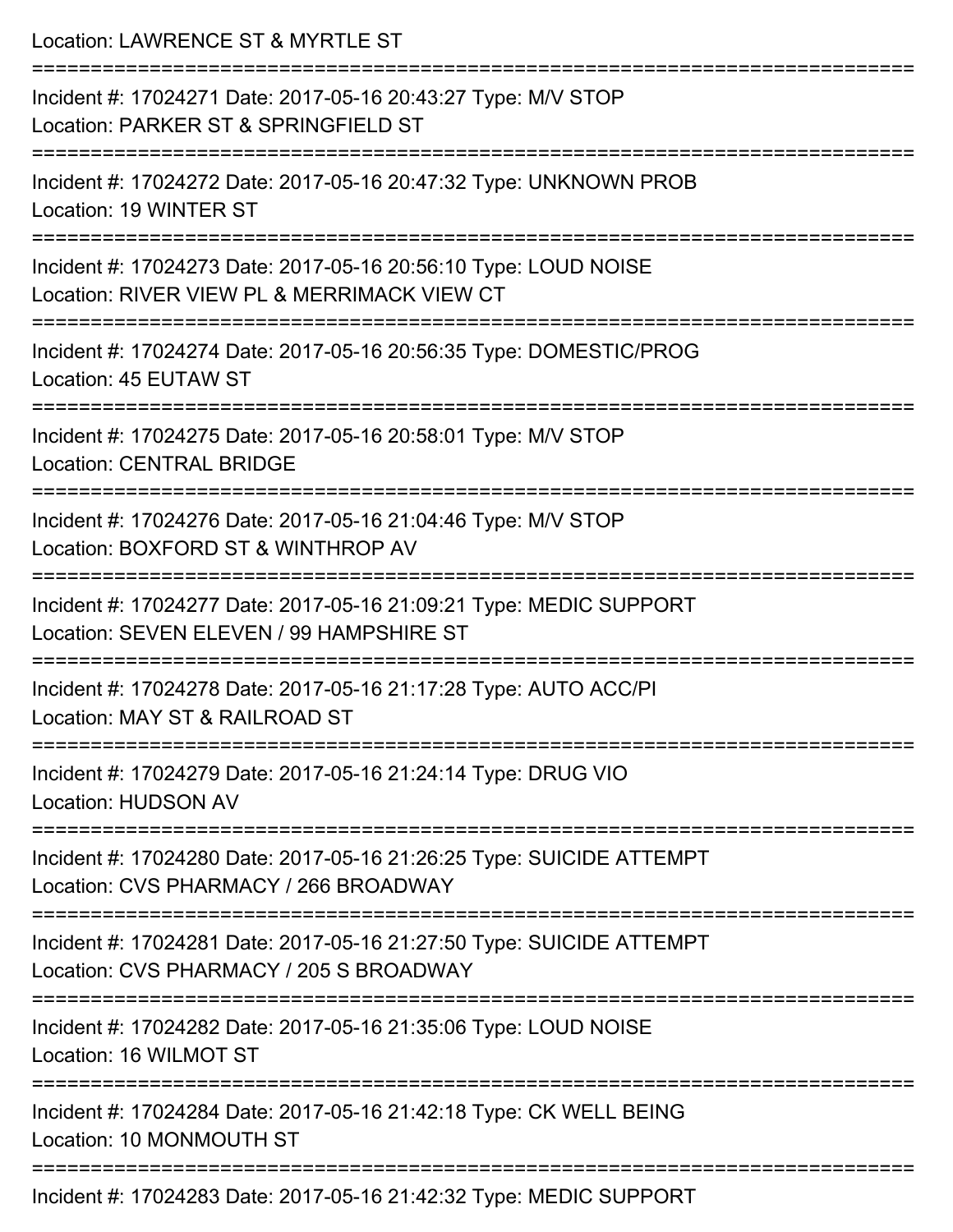| Location: LAWRENCE ST & MYRTLE ST                                                                                   |
|---------------------------------------------------------------------------------------------------------------------|
| Incident #: 17024271 Date: 2017-05-16 20:43:27 Type: M/V STOP<br>Location: PARKER ST & SPRINGFIELD ST               |
| Incident #: 17024272 Date: 2017-05-16 20:47:32 Type: UNKNOWN PROB<br>Location: 19 WINTER ST                         |
| Incident #: 17024273 Date: 2017-05-16 20:56:10 Type: LOUD NOISE<br>Location: RIVER VIEW PL & MERRIMACK VIEW CT      |
| :===================<br>Incident #: 17024274 Date: 2017-05-16 20:56:35 Type: DOMESTIC/PROG<br>Location: 45 EUTAW ST |
| Incident #: 17024275 Date: 2017-05-16 20:58:01 Type: M/V STOP<br><b>Location: CENTRAL BRIDGE</b>                    |
| Incident #: 17024276 Date: 2017-05-16 21:04:46 Type: M/V STOP<br>Location: BOXFORD ST & WINTHROP AV                 |
| Incident #: 17024277 Date: 2017-05-16 21:09:21 Type: MEDIC SUPPORT<br>Location: SEVEN ELEVEN / 99 HAMPSHIRE ST      |
| Incident #: 17024278 Date: 2017-05-16 21:17:28 Type: AUTO ACC/PI<br>Location: MAY ST & RAILROAD ST                  |
| Incident #: 17024279 Date: 2017-05-16 21:24:14 Type: DRUG VIO<br><b>Location: HUDSON AV</b>                         |
| Incident #: 17024280 Date: 2017-05-16 21:26:25 Type: SUICIDE ATTEMPT<br>Location: CVS PHARMACY / 266 BROADWAY       |
| Incident #: 17024281 Date: 2017-05-16 21:27:50 Type: SUICIDE ATTEMPT<br>Location: CVS PHARMACY / 205 S BROADWAY     |
| Incident #: 17024282 Date: 2017-05-16 21:35:06 Type: LOUD NOISE<br>Location: 16 WILMOT ST                           |
| Incident #: 17024284 Date: 2017-05-16 21:42:18 Type: CK WELL BEING<br>Location: 10 MONMOUTH ST                      |
| Incident #: 17024283 Date: 2017-05-16 21:42:32 Type: MEDIC SUPPORT                                                  |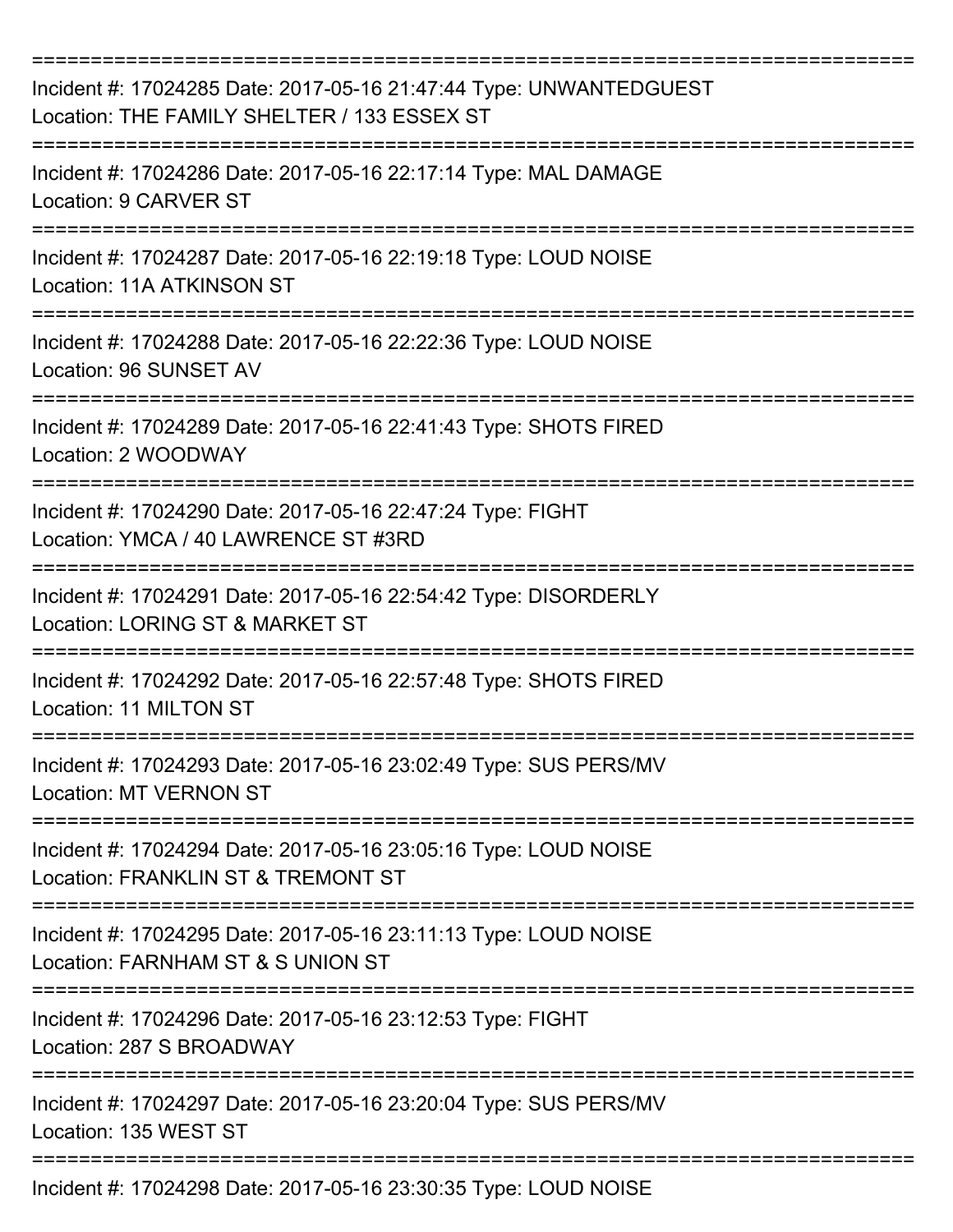| Incident #: 17024285 Date: 2017-05-16 21:47:44 Type: UNWANTEDGUEST<br>Location: THE FAMILY SHELTER / 133 ESSEX ST<br>------------ |
|-----------------------------------------------------------------------------------------------------------------------------------|
| Incident #: 17024286 Date: 2017-05-16 22:17:14 Type: MAL DAMAGE<br>Location: 9 CARVER ST<br>====================                  |
| Incident #: 17024287 Date: 2017-05-16 22:19:18 Type: LOUD NOISE<br><b>Location: 11A ATKINSON ST</b>                               |
| Incident #: 17024288 Date: 2017-05-16 22:22:36 Type: LOUD NOISE<br>Location: 96 SUNSET AV                                         |
| Incident #: 17024289 Date: 2017-05-16 22:41:43 Type: SHOTS FIRED<br>Location: 2 WOODWAY                                           |
| Incident #: 17024290 Date: 2017-05-16 22:47:24 Type: FIGHT<br>Location: YMCA / 40 LAWRENCE ST #3RD                                |
| Incident #: 17024291 Date: 2017-05-16 22:54:42 Type: DISORDERLY<br>Location: LORING ST & MARKET ST                                |
| Incident #: 17024292 Date: 2017-05-16 22:57:48 Type: SHOTS FIRED<br>Location: 11 MILTON ST                                        |
| Incident #: 17024293 Date: 2017-05-16 23:02:49 Type: SUS PERS/MV<br><b>Location: MT VERNON ST</b>                                 |
| Incident #: 17024294 Date: 2017-05-16 23:05:16 Type: LOUD NOISE<br>Location: FRANKLIN ST & TREMONT ST                             |
| Incident #: 17024295 Date: 2017-05-16 23:11:13 Type: LOUD NOISE<br>Location: FARNHAM ST & S UNION ST                              |
| Incident #: 17024296 Date: 2017-05-16 23:12:53 Type: FIGHT<br>Location: 287 S BROADWAY                                            |
| Incident #: 17024297 Date: 2017-05-16 23:20:04 Type: SUS PERS/MV<br>Location: 135 WEST ST                                         |
| Incident #: 17024298 Date: 2017-05-16 23:30:35 Type: LOUD NOISE                                                                   |